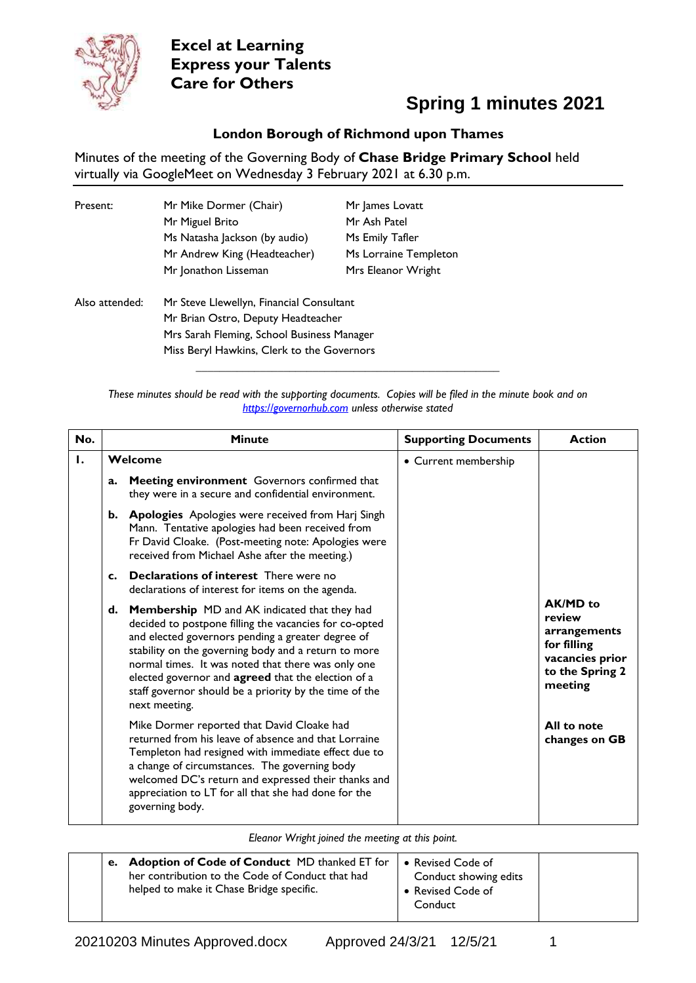

## **Spring 1 minutes 2021**

#### **London Borough of Richmond upon Thames**

Minutes of the meeting of the Governing Body of **Chase Bridge Primary School** held virtually via GoogleMeet on Wednesday 3 February 2021 at 6.30 p.m.

| Present:       | Mr Mike Dormer (Chair)<br>Mr Miguel Brito<br>Ms Natasha Jackson (by audio)<br>Mr Andrew King (Headteacher)<br>Mr Jonathon Lisseman                                         | Mr James Lovatt<br>Mr Ash Patel<br>Ms Emily Tafler<br>Ms Lorraine Templeton<br>Mrs Eleanor Wright |
|----------------|----------------------------------------------------------------------------------------------------------------------------------------------------------------------------|---------------------------------------------------------------------------------------------------|
| Also attended: | Mr Steve Llewellyn, Financial Consultant<br>Mr Brian Ostro, Deputy Headteacher<br>Mrs Sarah Fleming, School Business Manager<br>Miss Beryl Hawkins, Clerk to the Governors |                                                                                                   |

*These minutes should be read with the supporting documents. Copies will be filed in the minute book and on [https://governorhub.com](https://governorhub.com/) unless otherwise stated*

**\_\_\_\_\_\_\_\_\_\_\_\_\_\_\_\_\_\_\_\_\_\_\_\_\_\_\_\_\_\_\_\_\_\_\_\_\_\_\_\_\_\_\_\_\_\_\_\_\_\_\_\_**

| No. | <b>Minute</b>  |                                                                                                                                                                                                                                                                                                                                                                                                            | <b>Supporting Documents</b> | <b>Action</b>                                                                                      |
|-----|----------------|------------------------------------------------------------------------------------------------------------------------------------------------------------------------------------------------------------------------------------------------------------------------------------------------------------------------------------------------------------------------------------------------------------|-----------------------------|----------------------------------------------------------------------------------------------------|
| Ι.  | Welcome        |                                                                                                                                                                                                                                                                                                                                                                                                            | • Current membership        |                                                                                                    |
|     | a.             | Meeting environment Governors confirmed that<br>they were in a secure and confidential environment.                                                                                                                                                                                                                                                                                                        |                             |                                                                                                    |
|     | b.             | <b>Apologies</b> Apologies were received from Harj Singh<br>Mann. Tentative apologies had been received from<br>Fr David Cloake. (Post-meeting note: Apologies were<br>received from Michael Ashe after the meeting.)                                                                                                                                                                                      |                             |                                                                                                    |
|     | $\mathbf{c}$ . | <b>Declarations of interest</b> There were no<br>declarations of interest for items on the agenda.                                                                                                                                                                                                                                                                                                         |                             |                                                                                                    |
|     | d.             | Membership MD and AK indicated that they had<br>decided to postpone filling the vacancies for co-opted<br>and elected governors pending a greater degree of<br>stability on the governing body and a return to more<br>normal times. It was noted that there was only one<br>elected governor and agreed that the election of a<br>staff governor should be a priority by the time of the<br>next meeting. |                             | AK/MD to<br>review<br>arrangements<br>for filling<br>vacancies prior<br>to the Spring 2<br>meeting |
|     |                | Mike Dormer reported that David Cloake had<br>returned from his leave of absence and that Lorraine<br>Templeton had resigned with immediate effect due to<br>a change of circumstances. The governing body<br>welcomed DC's return and expressed their thanks and<br>appreciation to LT for all that she had done for the<br>governing body.                                                               |                             | All to note<br>changes on GB                                                                       |

*Eleanor Wright joined the meeting at this point.*

|  |  | e. Adoption of Code of Conduct MD thanked ET for<br>her contribution to the Code of Conduct that had<br>helped to make it Chase Bridge specific. | • Revised Code of<br>Conduct showing edits<br>• Revised Code of<br>Conduct |  |
|--|--|--------------------------------------------------------------------------------------------------------------------------------------------------|----------------------------------------------------------------------------|--|
|--|--|--------------------------------------------------------------------------------------------------------------------------------------------------|----------------------------------------------------------------------------|--|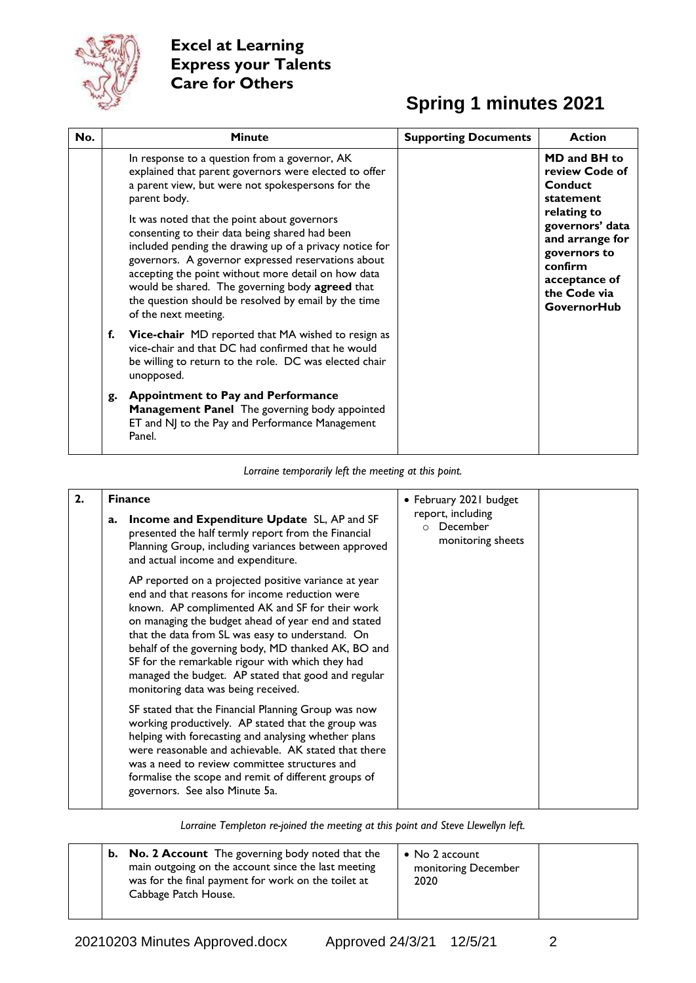

## **Spring 1 minutes 2021**

| No. | <b>Minute</b>                                                                                                                                                                                                                                                                                                                                                                                                                                                                                                                                                                           | <b>Supporting Documents</b> | <b>Action</b>                                                                                                                                                                                 |
|-----|-----------------------------------------------------------------------------------------------------------------------------------------------------------------------------------------------------------------------------------------------------------------------------------------------------------------------------------------------------------------------------------------------------------------------------------------------------------------------------------------------------------------------------------------------------------------------------------------|-----------------------------|-----------------------------------------------------------------------------------------------------------------------------------------------------------------------------------------------|
|     | In response to a question from a governor, AK<br>explained that parent governors were elected to offer<br>a parent view, but were not spokespersons for the<br>parent body.<br>It was noted that the point about governors<br>consenting to their data being shared had been<br>included pending the drawing up of a privacy notice for<br>governors. A governor expressed reservations about<br>accepting the point without more detail on how data<br>would be shared. The governing body agreed that<br>the question should be resolved by email by the time<br>of the next meeting. |                             | MD and BH to<br>review Code of<br>Conduct<br>statement<br>relating to<br>governors' data<br>and arrange for<br>governors to<br>confirm<br>acceptance of<br>the Code via<br><b>GovernorHub</b> |
|     | f.<br><b>Vice-chair</b> MD reported that MA wished to resign as<br>vice-chair and that DC had confirmed that he would<br>be willing to return to the role. DC was elected chair<br>unopposed.                                                                                                                                                                                                                                                                                                                                                                                           |                             |                                                                                                                                                                                               |
|     | <b>Appointment to Pay and Performance</b><br>g.<br>Management Panel The governing body appointed<br>ET and NJ to the Pay and Performance Management<br>Panel.                                                                                                                                                                                                                                                                                                                                                                                                                           |                             |                                                                                                                                                                                               |

*Lorraine temporarily left the meeting at this point.*

| 2. | <b>Finance</b>                                                                                                                                                                                                                                                                                                                                                                                                                                                                | • February 2021 budget                                        |  |
|----|-------------------------------------------------------------------------------------------------------------------------------------------------------------------------------------------------------------------------------------------------------------------------------------------------------------------------------------------------------------------------------------------------------------------------------------------------------------------------------|---------------------------------------------------------------|--|
|    | Income and Expenditure Update SL, AP and SF<br>a.<br>presented the half termly report from the Financial<br>Planning Group, including variances between approved<br>and actual income and expenditure.                                                                                                                                                                                                                                                                        | report, including<br>December<br>$\circ$<br>monitoring sheets |  |
|    | AP reported on a projected positive variance at year<br>end and that reasons for income reduction were<br>known. AP complimented AK and SF for their work<br>on managing the budget ahead of year end and stated<br>that the data from SL was easy to understand. On<br>behalf of the governing body, MD thanked AK, BO and<br>SF for the remarkable rigour with which they had<br>managed the budget. AP stated that good and regular<br>monitoring data was being received. |                                                               |  |
|    | SF stated that the Financial Planning Group was now<br>working productively. AP stated that the group was<br>helping with forecasting and analysing whether plans<br>were reasonable and achievable. AK stated that there<br>was a need to review committee structures and<br>formalise the scope and remit of different groups of<br>governors. See also Minute 5a.                                                                                                          |                                                               |  |

*Lorraine Templeton re-joined the meeting at this point and Steve Llewellyn left.*

| <b>b.</b> No. 2 Account The governing body noted that the<br>main outgoing on the account since the last meeting<br>was for the final payment for work on the toilet at<br>Cabbage Patch House. | $\bullet$ No 2 account<br>monitoring December<br>2020 |  |
|-------------------------------------------------------------------------------------------------------------------------------------------------------------------------------------------------|-------------------------------------------------------|--|
|-------------------------------------------------------------------------------------------------------------------------------------------------------------------------------------------------|-------------------------------------------------------|--|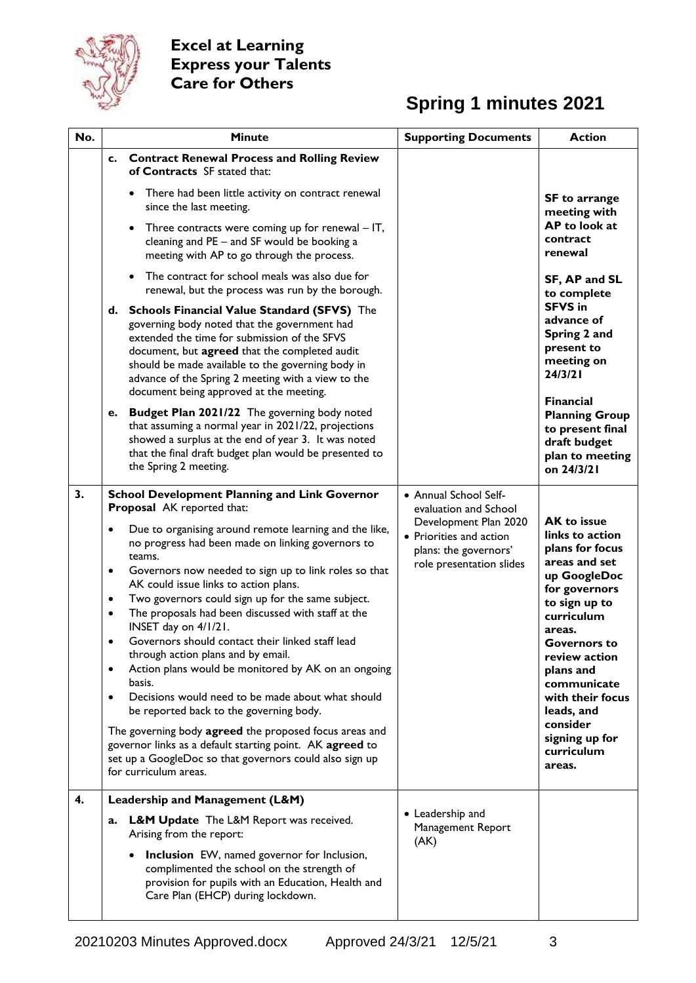

## **Spring 1 minutes 2021**

| No. | <b>Minute</b>                                                                                                                                                                                                                                                                                                                                                                                                                                                                                                                                                                                                                                                                                                                                              | <b>Supporting Documents</b>                                                                           | <b>Action</b>                                                                                                                                                                                                                                                                           |
|-----|------------------------------------------------------------------------------------------------------------------------------------------------------------------------------------------------------------------------------------------------------------------------------------------------------------------------------------------------------------------------------------------------------------------------------------------------------------------------------------------------------------------------------------------------------------------------------------------------------------------------------------------------------------------------------------------------------------------------------------------------------------|-------------------------------------------------------------------------------------------------------|-----------------------------------------------------------------------------------------------------------------------------------------------------------------------------------------------------------------------------------------------------------------------------------------|
|     | c. Contract Renewal Process and Rolling Review<br>of Contracts SF stated that:                                                                                                                                                                                                                                                                                                                                                                                                                                                                                                                                                                                                                                                                             |                                                                                                       |                                                                                                                                                                                                                                                                                         |
|     | There had been little activity on contract renewal<br>$\bullet$<br>since the last meeting.                                                                                                                                                                                                                                                                                                                                                                                                                                                                                                                                                                                                                                                                 |                                                                                                       | SF to arrange<br>meeting with                                                                                                                                                                                                                                                           |
|     | Three contracts were coming up for renewal $-$ IT,<br>$\bullet$<br>cleaning and PE - and SF would be booking a<br>meeting with AP to go through the process.                                                                                                                                                                                                                                                                                                                                                                                                                                                                                                                                                                                               |                                                                                                       | AP to look at<br>contract<br>renewal                                                                                                                                                                                                                                                    |
|     | The contract for school meals was also due for<br>$\bullet$<br>renewal, but the process was run by the borough.                                                                                                                                                                                                                                                                                                                                                                                                                                                                                                                                                                                                                                            |                                                                                                       | SF, AP and SL<br>to complete                                                                                                                                                                                                                                                            |
|     | d. Schools Financial Value Standard (SFVS) The<br>governing body noted that the government had<br>extended the time for submission of the SFVS<br>document, but agreed that the completed audit<br>should be made available to the governing body in<br>advance of the Spring 2 meeting with a view to the<br>document being approved at the meeting.                                                                                                                                                                                                                                                                                                                                                                                                      |                                                                                                       | <b>SFVS in</b><br>advance of<br>Spring 2 and<br>present to<br>meeting on<br>24/3/21                                                                                                                                                                                                     |
|     | <b>Budget Plan 2021/22</b> The governing body noted<br>e.<br>that assuming a normal year in 2021/22, projections<br>showed a surplus at the end of year 3. It was noted<br>that the final draft budget plan would be presented to<br>the Spring 2 meeting.                                                                                                                                                                                                                                                                                                                                                                                                                                                                                                 |                                                                                                       | <b>Financial</b><br><b>Planning Group</b><br>to present final<br>draft budget<br>plan to meeting<br>on 24/3/21                                                                                                                                                                          |
| 3.  | <b>School Development Planning and Link Governor</b><br>Proposal AK reported that:                                                                                                                                                                                                                                                                                                                                                                                                                                                                                                                                                                                                                                                                         | • Annual School Self-<br>evaluation and School                                                        |                                                                                                                                                                                                                                                                                         |
|     | Due to organising around remote learning and the like,<br>٠<br>no progress had been made on linking governors to<br>teams.<br>Governors now needed to sign up to link roles so that<br>$\bullet$<br>AK could issue links to action plans.<br>Two governors could sign up for the same subject.<br>$\bullet$<br>The proposals had been discussed with staff at the<br>$\bullet$<br>INSET day on 4/1/21.<br>Governors should contact their linked staff lead<br>$\bullet$<br>through action plans and by email.<br>Action plans would be monitored by AK on an ongoing<br>$\bullet$<br>basis.<br>Decisions would need to be made about what should<br>٠<br>be reported back to the governing body.<br>The governing body agreed the proposed focus areas and | Development Plan 2020<br>• Priorities and action<br>plans: the governors'<br>role presentation slides | <b>AK to issue</b><br>links to action<br>plans for focus<br>areas and set<br>up GoogleDoc<br>for governors<br>to sign up to<br>curriculum<br>areas.<br><b>Governors to</b><br>review action<br>plans and<br>communicate<br>with their focus<br>leads, and<br>consider<br>signing up for |
|     | governor links as a default starting point. AK agreed to<br>set up a GoogleDoc so that governors could also sign up<br>for curriculum areas.                                                                                                                                                                                                                                                                                                                                                                                                                                                                                                                                                                                                               |                                                                                                       | curriculum<br>areas.                                                                                                                                                                                                                                                                    |
| 4.  | Leadership and Management (L&M)                                                                                                                                                                                                                                                                                                                                                                                                                                                                                                                                                                                                                                                                                                                            |                                                                                                       |                                                                                                                                                                                                                                                                                         |
|     | L&M Update The L&M Report was received.<br>a.<br>Arising from the report:<br><b>Inclusion</b> EW, named governor for Inclusion,<br>٠                                                                                                                                                                                                                                                                                                                                                                                                                                                                                                                                                                                                                       | • Leadership and<br>Management Report<br>(AK)                                                         |                                                                                                                                                                                                                                                                                         |
|     | complimented the school on the strength of<br>provision for pupils with an Education, Health and<br>Care Plan (EHCP) during lockdown.                                                                                                                                                                                                                                                                                                                                                                                                                                                                                                                                                                                                                      |                                                                                                       |                                                                                                                                                                                                                                                                                         |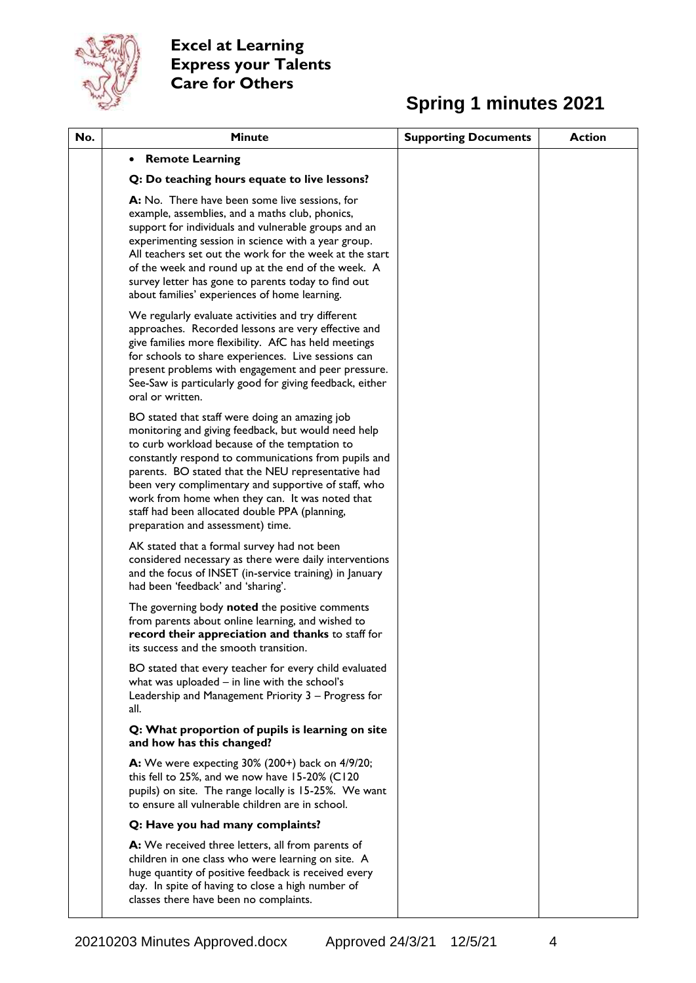

# **Spring 1 minutes 2021**

| No. | <b>Minute</b>                                                                                                                                                                                                                                                                                                                                                                                                                                                          | <b>Supporting Documents</b> | <b>Action</b> |
|-----|------------------------------------------------------------------------------------------------------------------------------------------------------------------------------------------------------------------------------------------------------------------------------------------------------------------------------------------------------------------------------------------------------------------------------------------------------------------------|-----------------------------|---------------|
|     | <b>Remote Learning</b><br>$\bullet$                                                                                                                                                                                                                                                                                                                                                                                                                                    |                             |               |
|     | Q: Do teaching hours equate to live lessons?                                                                                                                                                                                                                                                                                                                                                                                                                           |                             |               |
|     | A: No. There have been some live sessions, for<br>example, assemblies, and a maths club, phonics,<br>support for individuals and vulnerable groups and an<br>experimenting session in science with a year group.<br>All teachers set out the work for the week at the start<br>of the week and round up at the end of the week. A<br>survey letter has gone to parents today to find out<br>about families' experiences of home learning.                              |                             |               |
|     | We regularly evaluate activities and try different<br>approaches. Recorded lessons are very effective and<br>give families more flexibility. AfC has held meetings<br>for schools to share experiences. Live sessions can<br>present problems with engagement and peer pressure.<br>See-Saw is particularly good for giving feedback, either<br>oral or written.                                                                                                       |                             |               |
|     | BO stated that staff were doing an amazing job<br>monitoring and giving feedback, but would need help<br>to curb workload because of the temptation to<br>constantly respond to communications from pupils and<br>parents. BO stated that the NEU representative had<br>been very complimentary and supportive of staff, who<br>work from home when they can. It was noted that<br>staff had been allocated double PPA (planning,<br>preparation and assessment) time. |                             |               |
|     | AK stated that a formal survey had not been<br>considered necessary as there were daily interventions<br>and the focus of INSET (in-service training) in January<br>had been 'feedback' and 'sharing'.                                                                                                                                                                                                                                                                 |                             |               |
|     | The governing body noted the positive comments<br>from parents about online learning, and wished to<br>record their appreciation and thanks to staff for<br>its success and the smooth transition.                                                                                                                                                                                                                                                                     |                             |               |
|     | BO stated that every teacher for every child evaluated<br>what was uploaded $-$ in line with the school's<br>Leadership and Management Priority 3 - Progress for<br>all.                                                                                                                                                                                                                                                                                               |                             |               |
|     | Q: What proportion of pupils is learning on site<br>and how has this changed?                                                                                                                                                                                                                                                                                                                                                                                          |                             |               |
|     | A: We were expecting 30% (200+) back on 4/9/20;<br>this fell to 25%, and we now have 15-20% (C120<br>pupils) on site. The range locally is 15-25%. We want<br>to ensure all vulnerable children are in school.                                                                                                                                                                                                                                                         |                             |               |
|     | Q: Have you had many complaints?                                                                                                                                                                                                                                                                                                                                                                                                                                       |                             |               |
|     | A: We received three letters, all from parents of<br>children in one class who were learning on site. A<br>huge quantity of positive feedback is received every<br>day. In spite of having to close a high number of<br>classes there have been no complaints.                                                                                                                                                                                                         |                             |               |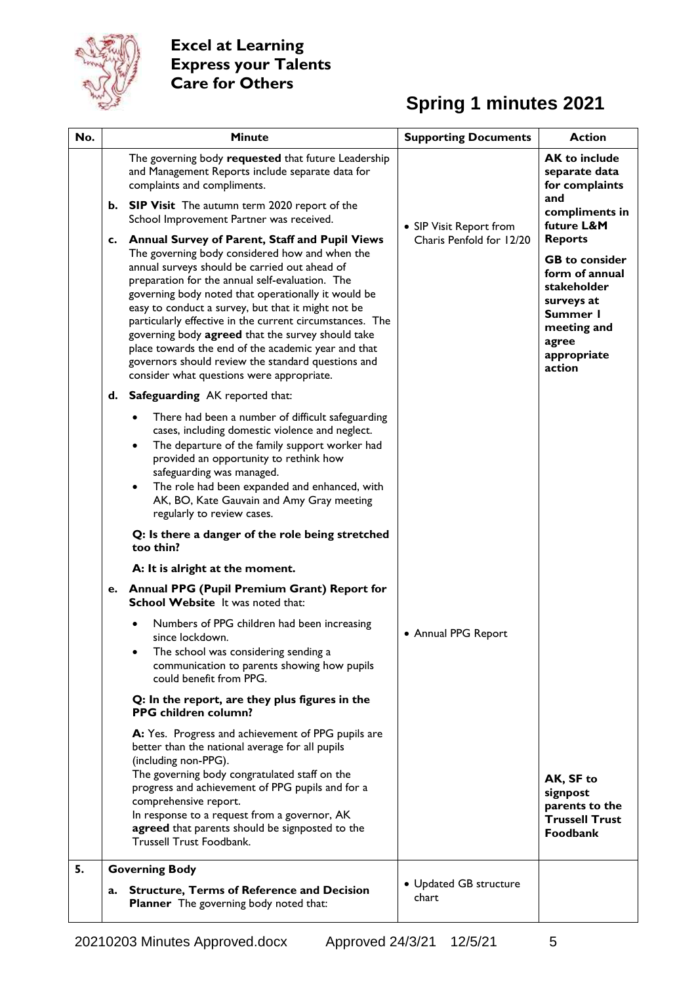

# **Spring 1 minutes 2021**

| No. |    | <b>Minute</b>                                                                                                                                                                                                                                                                                                                                                                                                                                                                                                                                                                                   | <b>Supporting Documents</b>     | <b>Action</b>                                                                                                                                       |
|-----|----|-------------------------------------------------------------------------------------------------------------------------------------------------------------------------------------------------------------------------------------------------------------------------------------------------------------------------------------------------------------------------------------------------------------------------------------------------------------------------------------------------------------------------------------------------------------------------------------------------|---------------------------------|-----------------------------------------------------------------------------------------------------------------------------------------------------|
|     |    | The governing body requested that future Leadership<br>and Management Reports include separate data for<br>complaints and compliments.                                                                                                                                                                                                                                                                                                                                                                                                                                                          |                                 | <b>AK to include</b><br>separate data<br>for complaints                                                                                             |
|     |    | b. SIP Visit The autumn term 2020 report of the<br>School Improvement Partner was received.                                                                                                                                                                                                                                                                                                                                                                                                                                                                                                     | • SIP Visit Report from         | and<br>compliments in<br>future L&M                                                                                                                 |
|     |    | c. Annual Survey of Parent, Staff and Pupil Views<br>The governing body considered how and when the<br>annual surveys should be carried out ahead of<br>preparation for the annual self-evaluation. The<br>governing body noted that operationally it would be<br>easy to conduct a survey, but that it might not be<br>particularly effective in the current circumstances. The<br>governing body agreed that the survey should take<br>place towards the end of the academic year and that<br>governors should review the standard questions and<br>consider what questions were appropriate. | Charis Penfold for 12/20        | <b>Reports</b><br><b>GB</b> to consider<br>form of annual<br>stakeholder<br>surveys at<br>Summer I<br>meeting and<br>agree<br>appropriate<br>action |
|     | d. | <b>Safeguarding</b> AK reported that:                                                                                                                                                                                                                                                                                                                                                                                                                                                                                                                                                           |                                 |                                                                                                                                                     |
|     |    | There had been a number of difficult safeguarding<br>cases, including domestic violence and neglect.<br>The departure of the family support worker had<br>provided an opportunity to rethink how<br>safeguarding was managed.<br>The role had been expanded and enhanced, with<br>AK, BO, Kate Gauvain and Amy Gray meeting<br>regularly to review cases.                                                                                                                                                                                                                                       |                                 |                                                                                                                                                     |
|     |    | Q: Is there a danger of the role being stretched<br>too thin?                                                                                                                                                                                                                                                                                                                                                                                                                                                                                                                                   |                                 |                                                                                                                                                     |
|     |    | A: It is alright at the moment.                                                                                                                                                                                                                                                                                                                                                                                                                                                                                                                                                                 |                                 |                                                                                                                                                     |
|     | е. | <b>Annual PPG (Pupil Premium Grant) Report for</b><br>School Website It was noted that:                                                                                                                                                                                                                                                                                                                                                                                                                                                                                                         |                                 |                                                                                                                                                     |
|     |    | Numbers of PPG children had been increasing<br>since lockdown.<br>The school was considering sending a<br>communication to parents showing how pupils<br>could benefit from PPG.                                                                                                                                                                                                                                                                                                                                                                                                                | • Annual PPG Report             |                                                                                                                                                     |
|     |    | Q: In the report, are they plus figures in the<br>PPG children column?                                                                                                                                                                                                                                                                                                                                                                                                                                                                                                                          |                                 |                                                                                                                                                     |
|     |    | A: Yes. Progress and achievement of PPG pupils are<br>better than the national average for all pupils<br>(including non-PPG).<br>The governing body congratulated staff on the<br>progress and achievement of PPG pupils and for a<br>comprehensive report.<br>In response to a request from a governor, AK<br>agreed that parents should be signposted to the<br>Trussell Trust Foodbank.                                                                                                                                                                                                      |                                 | AK, SF to<br>signpost<br>parents to the<br><b>Trussell Trust</b><br><b>Foodbank</b>                                                                 |
| 5.  |    | <b>Governing Body</b>                                                                                                                                                                                                                                                                                                                                                                                                                                                                                                                                                                           |                                 |                                                                                                                                                     |
|     | a. | <b>Structure, Terms of Reference and Decision</b><br><b>Planner</b> The governing body noted that:                                                                                                                                                                                                                                                                                                                                                                                                                                                                                              | • Updated GB structure<br>chart |                                                                                                                                                     |